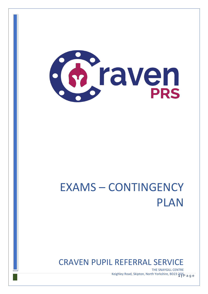

# EXAMS – CONTINGENCY PLAN

# CRAVEN PUPIL REFERRAL SERVICE

*Keighley Road, Skipton, North Yorkshire, BD23 4***QS a g e** THE SNAYGILL CENTRE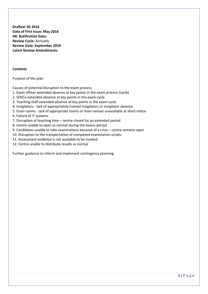**Drafted: 05 2016 Date of First Issue: May 2016 MC Ratification Date: Review Cycle:** Annually **Review Date: September 2019 Latest Review Amendments:**

#### **Contents**

#### Purpose of the plan

Causes of potential disruption to the exam process

- 1. Exam officer extended absence at key points in the exam process (cycle)
- 2. SENCo extended absence at key points in the exam cycle
- 3. Teaching staff extended absence at key points in the exam cycle
- 4. Invigilators lack of appropriately trained invigilators or invigilator absence
- 5. Exam rooms lack of appropriate rooms or main venues unavailable at short notice

6. Failure of IT systems

- 7. Disruption of teaching time centre closed for an extended period
- 8. Centre unable to open as normal during the exams period
- 9. Candidates unable to take examinations because of a crisis centre remains open
- 10. Disruption to the transportation of completed examination scripts
- 11. Assessment evidence is not available to be marked
- 12. Centre unable to distribute results as normal

Further guidance to inform and implement contingency planning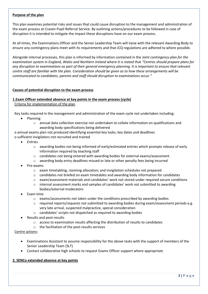#### **Purpose of the plan**

This plan examines potential risks and issues that could cause disruption to the management and administration of the exam process at Craven Pupil Referral Service. By outlining actions/procedures to be followed in case of disruption it is intended to mitigate the impact these disruptions have on our exam process.

At all times, the Examinations Officer and the Senior Leadership Team will liaise with the relevant Awarding Body to ensure any contingency plans meet with its requirements and that JCQ regulations are adhered to where possible.

Alongside internal processes, this plan is informed by information contained in the *Joint contingency plan for the examination system in England, Wales and Northern Ireland* where it is stated that *"Centres should prepare plans for any disruption to examinations as part of their general emergency planning. It is important to ensure that relevant centre staff are familiar with the plan. Consideration should be given as to how these arrangements will be communicated to candidates, parents and staff should disruption to examinations occur."* 

#### **Causes of potential disruption to the exam process**

#### **1.Exam Officer extended absence at key points in the exam process (cycle)**

Criteria for implementation of the plan

Key tasks required in the management and administration of the exam cycle not undertaken including:

- Planning
	- $\circ$  annual data collection exercise not undertaken to collate information on qualifications and awarding body specifications being delivered

o annual exams plan not produced identifying essential key tasks, key dates and deadlines o sufficient invigilators not recruited and trained

- **Entries** 
	- o awarding bodies not being informed of early/estimated entries which prompts release of early information required by teaching staff
	- o candidates not being entered with awarding bodies for external exams/assessment
	- o awarding body entry deadlines missed or late or other penalty fees being incurred
- Pre-exams
	- $\circ$  exam timetabling, rooming allocation; and invigilation schedules not prepared
	- $\circ$  candidates not briefed on exam timetables and awarding body information for candidates
	- o exam/assessment materials and candidates' work not stored under required secure conditions
	- o internal assessment marks and samples of candidates' work not submitted to awarding bodies/external moderators
- Exam time
	- $\circ$  exams/assessments not taken under the conditions prescribed by awarding bodies
	- o required reports/requests not submitted to awarding bodies during exam/assessment periods e.g. very late arrival, suspected malpractice, special consideration
	- o candidates' scripts not dispatched as required to awarding bodies
- Results and post-results
	- $\circ$  access to examination results affecting the distribution of results to candidates
	- o the facilitation of the post-results services

#### Centre actions:

- Examinations Assistant to assume responsibility for the above tasks with the support of members of the Senior Leadership Team (SLT)
- Contact collaborative high schools to request Exams Officer support where appropriate

#### **2. SENCo extended absence at key points**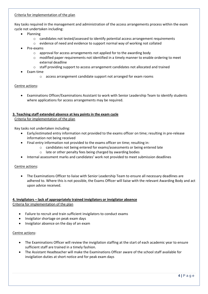#### Criteria for implementation of the plan

Key tasks required in the management and administration of the access arrangements process within the exam cycle not undertaken including:

- Planning
	- $\circ$  candidates not tested/assessed to identify potential access arrangement requirements
	- o evidence of need and evidence to support normal way of working not collated
- Pre-exams
	- o approval for access arrangements not applied for to the awarding body
	- $\circ$  modified paper requirements not identified in a timely manner to enable ordering to meet external deadline
	- o staff providing support to access arrangement candidates not allocated and trained
- Exam time
	- o access arrangement candidate support not arranged for exam rooms

#### Centre actions:

• Examinations Officer/Examinations Assistant to work with Senior Leadership Team to identify students where applications for access arrangements may be required.

#### **3. Teaching staff extended absence at key points in the exam cycle**

Criteria for implementation of the plan

Key tasks not undertaken including:

- Early/estimated entry information not provided to the exams officer on time; resulting in pre-release information not being received
- Final entry information not provided to the exams officer on time; resulting in:
	- $\circ$  candidates not being entered for exams/assessments or being entered late
	- o late or other penalty fees being charged by awarding bodies
- Internal assessment marks and candidates' work not provided to meet submission deadlines

#### Centre actions:

• The Examinations Officer to liaise with Senior Leadership Team to ensure all necessary deadlines are adhered to. Where this is not possible, the Exams Officer will liaise with the relevant Awarding Body and act upon advice received.

#### **4. Invigilators – lack of appropriately trained invigilators or invigilator absence** Criteria for implementation of the plan

- Failure to recruit and train sufficient invigilators to conduct exams
- Invigilator shortage on peak exam days
- Invigilator absence on the day of an exam

#### Centre actions:

- The Examinations Officer will review the invigilation staffing at the start of each academic year to ensure sufficient staff are trained in a timely fashion.
- The Assistant Headteacher will make the Examinations Officer aware of the school staff available for invigilation duties at short notice and for peak exam days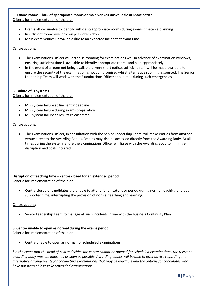### **5. Exams rooms – lack of appropriate rooms or main venues unavailable at short notice**

- Criteria for implementation of the plan
	- Exams officer unable to identify sufficient/appropriate rooms during exams timetable planning
	- Insufficient rooms available on peak exam days
	- Main exam venues unavailable due to an expected incident at exam time

Centre actions:

- The Examinations Officer will organise rooming for examinations well in advance of examination windows, ensuring sufficient time is available to identify appropriate rooms and plan appropriately.
- In the event of a room not being available at very short notice, sufficient staff will be made available to ensure the security of the examination is not compromised whilst alternative rooming is sourced. The Senior Leadership Team will work with the Examinations Officer at all times during such emergencies

#### **6. Failure of IT systems**

Criteria for implementation of the plan

- MIS system failure at final entry deadline
- MIS system failure during exams preparation
- MIS system failure at results release time

#### Centre actions:

• The Examinations Officer, in consultation with the Senior Leadership Team, will make entries from another venue direct to the Awarding Bodies. Results may also be accessed directly from the Awarding Body. At all times during the system failure the Examinations Officer will liaise with the Awarding Body to minimise disruption and costs incurred

## **Disruption of teaching time – centre closed for an extended period**

Criteria for implementation of the plan

• Centre closed or candidates are unable to attend for an extended period during normal teaching or study supported time, interrupting the provision of normal teaching and learning.

#### Centre actions:

• Senior Leadership Team to manage all such incidents in line with the Business Continuity Plan

#### **8. Centre unable to open as normal during the exams period**

Criteria for implementation of the plan

• Centre unable to open as normal for scheduled examinations

\**In the event that the head of centre decides the centre cannot be opened for scheduled examinations, the relevant awarding body must be informed as soon as possible. Awarding bodies will be able to offer advice regarding the alternative arrangements for conducting examinations that may be available and the options for candidates who have not been able to take scheduled examinations.*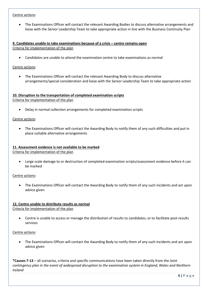#### Centre actions:

• The Examinations Officer will contact the relevant Awarding Bodies to discuss alternative arrangements and liaise with the Senior Leadership Team to take appropriate action in line with the Business Continuity Plan

#### **9. Candidates unable to take examinations because of a crisis – centre remains open** Criteria for implementation of the plan

• Candidates are unable to attend the examination centre to take examinations as normal

#### Centre actions:

• The Examinations Officer will contact the relevant Awarding Body to discuss alternative arrangements/special consideration and liaise with the Senior Leadership Team to take appropriate action

#### **10. Disruption to the transportation of completed examination scripts** Criteria for implementation of the plan

• Delay in normal collection arrangements for completed examination scripts

#### Centre actions:

• The Examinations Officer will contact the Awarding Body to notify them of any such difficulties and put in place suitable alternative arrangements

#### **11. Assessment evidence is not available to be marked** Criteria for implementation of the plan

- - Large scale damage to or destruction of completed examination scripts/assessment evidence before it can be marked

#### Centre actions:

• The Examinations Officer will contact the Awarding Body to notify them of any such incidents and act upon advice given

#### **12. Centre unable to distribute results as normal**

Criteria for implementation of the plan

• Centre is unable to access or manage the distribution of results to candidates, or to facilitate post-results services

#### Centre actions:

• The Examinations Officer will contact the Awarding Body to notify them of any such incidents and act upon advice given

**\*Causes 7-13** – all scenarios, criteria and specific communications have been taken directly from the *Joint contingency plan in the event of widespread disruption to the examination system in England, Wales and Northern Ireland*